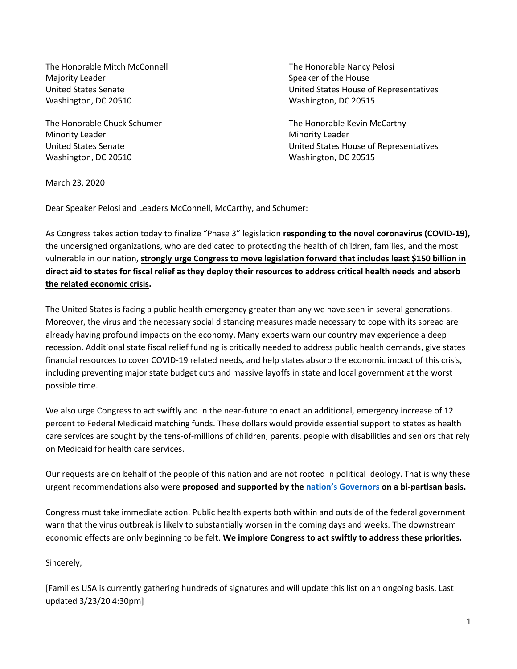The Honorable Mitch McConnell The Honorable Nancy Pelosi Majority Leader **Speaker of the House** Speaker of the House Washington, DC 20510 Washington, DC 20515

Minority Leader **Minority Leader** Minority Leader Washington, DC 20510 Washington, DC 20515

United States Senate United States House of Representatives

The Honorable Chuck Schumer The Honorable Kevin McCarthy United States Senate United States House of Representatives

March 23, 2020

Dear Speaker Pelosi and Leaders McConnell, McCarthy, and Schumer:

As Congress takes action today to finalize "Phase 3" legislation **responding to the novel coronavirus (COVID-19),** the undersigned organizations, who are dedicated to protecting the health of children, families, and the most vulnerable in our nation, **strongly urge Congress to move legislation forward that includes least \$150 billion in direct aid to states for fiscal relief as they deploy their resources to address critical health needs and absorb the related economic crisis.** 

The United States is facing a public health emergency greater than any we have seen in several generations. Moreover, the virus and the necessary social distancing measures made necessary to cope with its spread are already having profound impacts on the economy. Many experts warn our country may experience a deep recession. Additional state fiscal relief funding is critically needed to address public health demands, give states financial resources to cover COVID-19 related needs, and help states absorb the economic impact of this crisis, including preventing major state budget cuts and massive layoffs in state and local government at the worst possible time.

We also urge Congress to act swiftly and in the near-future to enact an additional, emergency increase of 12 percent to Federal Medicaid matching funds. These dollars would provide essential support to states as health care services are sought by the tens-of-millions of children, parents, people with disabilities and seniors that rely on Medicaid for health care services.

Our requests are on behalf of the people of this nation and are not rooted in political ideology. That is why these urgent recommendations also were **proposed and supported by the nation's [Governors](https://www.nga.org/letters-nga/health-human-services-committee/governors-request-for-third-congressional-supplemental-bill/) on a bi-partisan basis.**

Congress must take immediate action. Public health experts both within and outside of the federal government warn that the virus outbreak is likely to substantially worsen in the coming days and weeks. The downstream economic effects are only beginning to be felt. **We implore Congress to act swiftly to address these priorities.** 

# Sincerely,

[Families USA is currently gathering hundreds of signatures and will update this list on an ongoing basis. Last updated 3/23/20 4:30pm]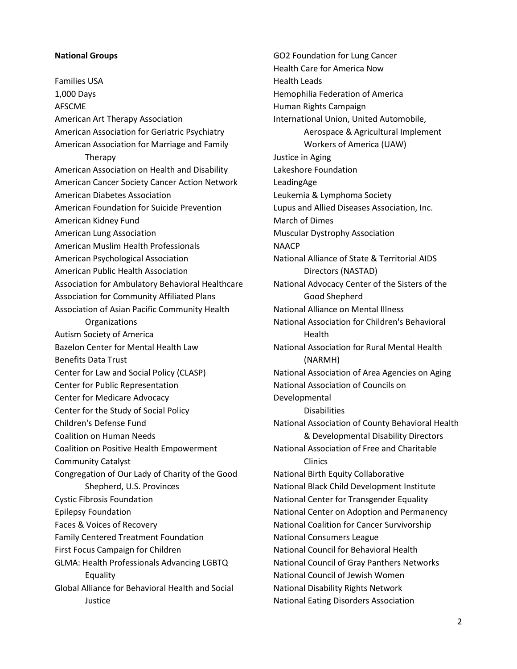## **National Groups**

Families USA 1,000 Days AFSCME American Art Therapy Association American Association for Geriatric Psychiatry American Association for Marriage and Family Therapy American Association on Health and Disability American Cancer Society Cancer Action Network American Diabetes Association American Foundation for Suicide Prevention American Kidney Fund American Lung Association American Muslim Health Professionals American Psychological Association American Public Health Association Association for Ambulatory Behavioral Healthcare Association for Community Affiliated Plans Association of Asian Pacific Community Health Organizations Autism Society of America Bazelon Center for Mental Health Law Benefits Data Trust Center for Law and Social Policy (CLASP) Center for Public Representation Center for Medicare Advocacy Center for the Study of Social Policy Children's Defense Fund Coalition on Human Needs Coalition on Positive Health Empowerment Community Catalyst Congregation of Our Lady of Charity of the Good Shepherd, U.S. Provinces Cystic Fibrosis Foundation Epilepsy Foundation Faces & Voices of Recovery Family Centered Treatment Foundation First Focus Campaign for Children GLMA: Health Professionals Advancing LGBTQ Equality Global Alliance for Behavioral Health and Social **Justice** 

GO2 Foundation for Lung Cancer Health Care for America Now Health Leads Hemophilia Federation of America Human Rights Campaign International Union, United Automobile, Aerospace & Agricultural Implement Workers of America (UAW) Justice in Aging Lakeshore Foundation LeadingAge Leukemia & Lymphoma Society Lupus and Allied Diseases Association, Inc. March of Dimes Muscular Dystrophy Association **NAACP** National Alliance of State & Territorial AIDS Directors (NASTAD) National Advocacy Center of the Sisters of the Good Shepherd National Alliance on Mental Illness National Association for Children's Behavioral Health National Association for Rural Mental Health (NARMH) National Association of Area Agencies on Aging National Association of Councils on Developmental **Disabilities** National Association of County Behavioral Health & Developmental Disability Directors National Association of Free and Charitable Clinics National Birth Equity Collaborative National Black Child Development Institute National Center for Transgender Equality National Center on Adoption and Permanency National Coalition for Cancer Survivorship National Consumers League National Council for Behavioral Health National Council of Gray Panthers Networks National Council of Jewish Women National Disability Rights Network National Eating Disorders Association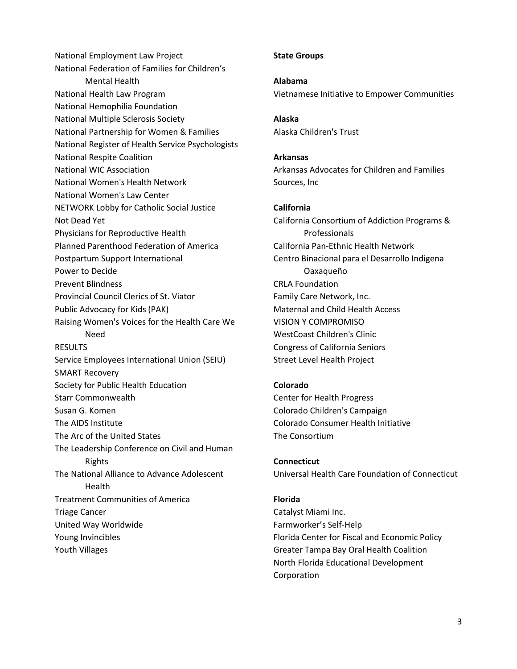National Employment Law Project National Federation of Families for Children's Mental Health National Health Law Program National Hemophilia Foundation National Multiple Sclerosis Society National Partnership for Women & Families National Register of Health Service Psychologists National Respite Coalition National WIC Association National Women's Health Network National Women's Law Center NETWORK Lobby for Catholic Social Justice Not Dead Yet Physicians for Reproductive Health Planned Parenthood Federation of America Postpartum Support International Power to Decide Prevent Blindness Provincial Council Clerics of St. Viator Public Advocacy for Kids (PAK) Raising Women's Voices for the Health Care We Need **RESULTS** Service Employees International Union (SEIU) SMART Recovery Society for Public Health Education Starr Commonwealth Susan G. Komen The AIDS Institute The Arc of the United States The Leadership Conference on Civil and Human Rights The National Alliance to Advance Adolescent Health Treatment Communities of America Triage Cancer United Way Worldwide Young Invincibles Youth Villages

## **State Groups**

**Alabama** Vietnamese Initiative to Empower Communities

**Alaska** Alaska Children's Trust

# **Arkansas**

Arkansas Advocates for Children and Families Sources, Inc

## **California**

California Consortium of Addiction Programs & Professionals California Pan-Ethnic Health Network Centro Binacional para el Desarrollo Indigena Oaxaqueño CRLA Foundation Family Care Network, Inc. Maternal and Child Health Access VISION Y COMPROMISO WestCoast Children's Clinic Congress of California Seniors Street Level Health Project

### **Colorado**

Center for Health Progress Colorado Children's Campaign Colorado Consumer Health Initiative The Consortium

#### **Connecticut**

Universal Health Care Foundation of Connecticut

#### **Florida**

Catalyst Miami Inc. Farmworker's Self-Help Florida Center for Fiscal and Economic Policy Greater Tampa Bay Oral Health Coalition North Florida Educational Development Corporation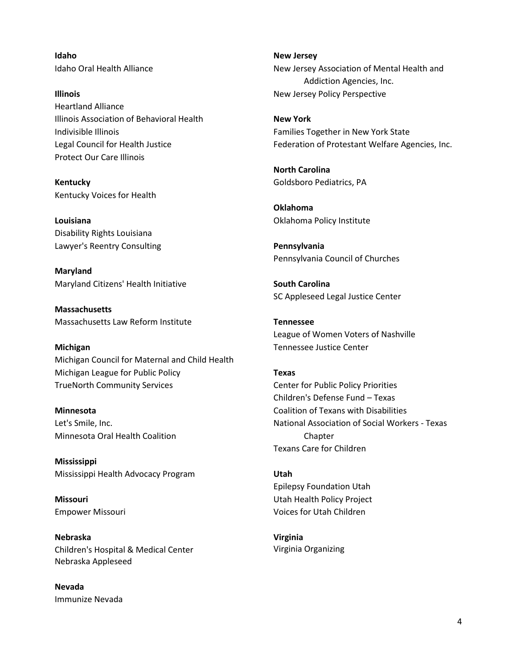**Idaho** Idaho Oral Health Alliance

**Illinois** Heartland Alliance Illinois Association of Behavioral Health Indivisible Illinois Legal Council for Health Justice Protect Our Care Illinois

**Kentucky** Kentucky Voices for Health

**Louisiana** Disability Rights Louisiana Lawyer's Reentry Consulting

**Maryland** Maryland Citizens' Health Initiative

**Massachusetts** Massachusetts Law Reform Institute

#### **Michigan**

Michigan Council for Maternal and Child Health Michigan League for Public Policy TrueNorth Community Services

**Minnesota** Let's Smile, Inc. Minnesota Oral Health Coalition

**Mississippi** Mississippi Health Advocacy Program

**Missouri** Empower Missouri

**Nebraska** Children's Hospital & Medical Center Nebraska Appleseed

**Nevada** Immunize Nevada **New Jersey** New Jersey Association of Mental Health and Addiction Agencies, Inc. New Jersey Policy Perspective

**New York** Families Together in New York State Federation of Protestant Welfare Agencies, Inc.

**North Carolina** Goldsboro Pediatrics, PA

**Oklahoma** Oklahoma Policy Institute

**Pennsylvania** Pennsylvania Council of Churches

**South Carolina** SC Appleseed Legal Justice Center

**Tennessee** League of Women Voters of Nashville Tennessee Justice Center

# **Texas**

Center for Public Policy Priorities Children's Defense Fund – Texas Coalition of Texans with Disabilities National Association of Social Workers - Texas Chapter Texans Care for Children

**Utah** Epilepsy Foundation Utah Utah Health Policy Project Voices for Utah Children

**Virginia** Virginia Organizing